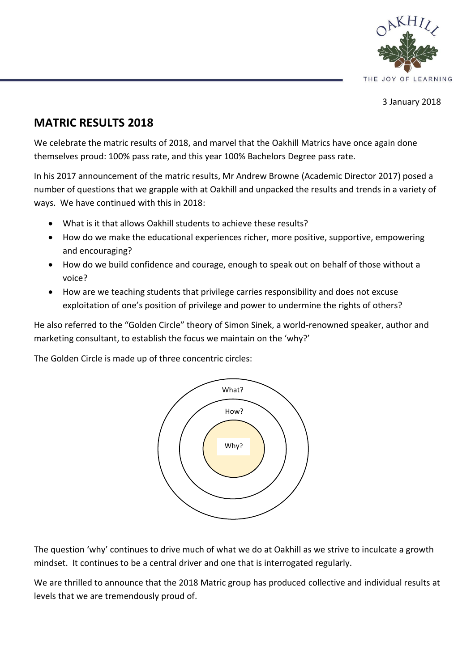

3 January 2018

# **MATRIC RESULTS 2018**

We celebrate the matric results of 2018, and marvel that the Oakhill Matrics have once again done themselves proud: 100% pass rate, and this year 100% Bachelors Degree pass rate.

In his 2017 announcement of the matric results, Mr Andrew Browne (Academic Director 2017) posed a number of questions that we grapple with at Oakhill and unpacked the results and trends in a variety of ways. We have continued with this in 2018:

- What is it that allows Oakhill students to achieve these results?
- How do we make the educational experiences richer, more positive, supportive, empowering and encouraging?
- How do we build confidence and courage, enough to speak out on behalf of those without a voice?
- How are we teaching students that privilege carries responsibility and does not excuse exploitation of one's position of privilege and power to undermine the rights of others?

He also referred to the "Golden Circle" theory of Simon Sinek, a world-renowned speaker, author and marketing consultant, to establish the focus we maintain on the 'why?'

The Golden Circle is made up of three concentric circles:



The question 'why' continues to drive much of what we do at Oakhill as we strive to inculcate a growth mindset. It continues to be a central driver and one that is interrogated regularly.

We are thrilled to announce that the 2018 Matric group has produced collective and individual results at levels that we are tremendously proud of.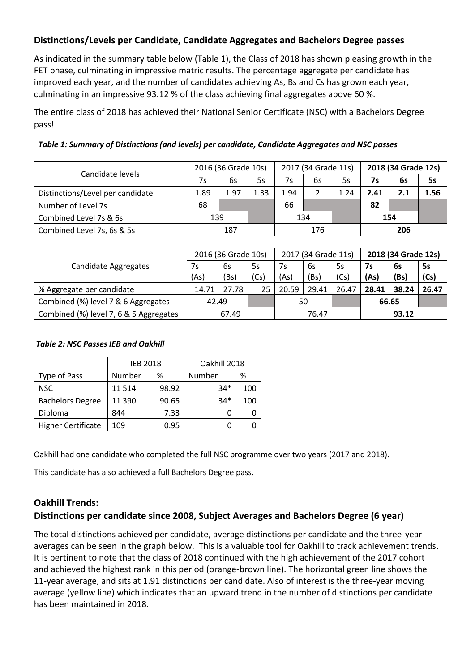# **Distinctions/Levels per Candidate, Candidate Aggregates and Bachelors Degree passes**

As indicated in the summary table below (Table 1), the Class of 2018 has shown pleasing growth in the FET phase, culminating in impressive matric results. The percentage aggregate per candidate has improved each year, and the number of candidates achieving As, Bs and Cs has grown each year, culminating in an impressive 93.12 % of the class achieving final aggregates above 60 %.

The entire class of 2018 has achieved their National Senior Certificate (NSC) with a Bachelors Degree pass!

| Candidate levels                 |      | 2016 (36 Grade 10s) |      |      | 2017 (34 Grade 11s) |      | 2018 (34 Grade 12s) |     |           |  |
|----------------------------------|------|---------------------|------|------|---------------------|------|---------------------|-----|-----------|--|
|                                  | 7s   | 6s                  | 5s   | 7s   | 6s                  | 5s   | 7s                  | 6s  | <b>5s</b> |  |
| Distinctions/Level per candidate | 1.89 | 1.97                | 1.33 | 1.94 |                     | 1.24 | 2.41                | 2.1 | 1.56      |  |
| Number of Level 7s               | 68   |                     |      | 66   |                     |      | 82                  |     |           |  |
| Combined Level 7s & 6s           | 139  |                     |      | 134  |                     |      | 154                 |     |           |  |
| Combined Level 7s, 6s & 5s       |      | 187                 |      | 176  |                     |      | 206                 |     |           |  |

|                                        |       | 2016 (36 Grade 10s) |      |       | 2017 (34 Grade 11s) |       | 2018 (34 Grade 12s) |       |           |  |
|----------------------------------------|-------|---------------------|------|-------|---------------------|-------|---------------------|-------|-----------|--|
| Candidate Aggregates                   | 7s    | 6s                  | 5s   | 7s    | 6s                  | 5s    | 7s                  | 6s    | <b>5s</b> |  |
|                                        | (As)  | (Bs)                | (Cs) | (As)  | (Bs)                | (Cs)  | (As)                | (Bs)  | (Cs)      |  |
| % Aggregate per candidate              | 14.71 | 27.78               | 25   | 20.59 | 29.41               | 26.47 | 28.41               | 38.24 | 26.47     |  |
| Combined (%) level 7 & 6 Aggregates    | 42.49 |                     |      | 50    |                     |       | 66.65               |       |           |  |
| Combined (%) level 7, 6 & 5 Aggregates | 67.49 |                     |      | 76.47 |                     |       | 93.12               |       |           |  |

#### *Table 2: NSC Passes IEB and Oakhill*

|                           | <b>IEB 2018</b> |       | Oakhill 2018 |     |  |  |  |
|---------------------------|-----------------|-------|--------------|-----|--|--|--|
| Type of Pass              | Number          | %     | Number       | ℅   |  |  |  |
| NSC.                      | 11 5 14         | 98.92 | $34*$        | 100 |  |  |  |
| <b>Bachelors Degree</b>   | 11 390          | 90.65 | $34*$        | 100 |  |  |  |
| Diploma                   | 844             | 7.33  |              |     |  |  |  |
| <b>Higher Certificate</b> | 109             | 0.95  |              |     |  |  |  |

Oakhill had one candidate who completed the full NSC programme over two years (2017 and 2018).

This candidate has also achieved a full Bachelors Degree pass.

## **Oakhill Trends:**

# **Distinctions per candidate since 2008, Subject Averages and Bachelors Degree (6 year)**

The total distinctions achieved per candidate, average distinctions per candidate and the three-year averages can be seen in the graph below. This is a valuable tool for Oakhill to track achievement trends. It is pertinent to note that the class of 2018 continued with the high achievement of the 2017 cohort and achieved the highest rank in this period (orange-brown line). The horizontal green line shows the 11-year average, and sits at 1.91 distinctions per candidate. Also of interest is the three-year moving average (yellow line) which indicates that an upward trend in the number of distinctions per candidate has been maintained in 2018.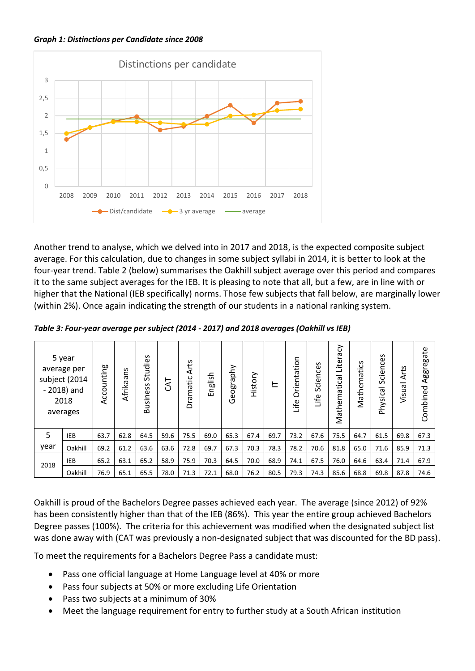*Graph 1: Distinctions per Candidate since 2008*



Another trend to analyse, which we delved into in 2017 and 2018, is the expected composite subject average. For this calculation, due to changes in some subject syllabi in 2014, it is better to look at the four-year trend. Table 2 (below) summarises the Oakhill subject average over this period and compares it to the same subject averages for the IEB. It is pleasing to note that all, but a few, are in line with or higher that the National (IEB specifically) norms. Those few subjects that fall below, are marginally lower (within 2%). Once again indicating the strength of our students in a national ranking system.

|      | 5 year<br>average per<br>subject (2014<br>$-2018$ ) and<br>2018<br>averages | Accounting | n<br>᠊ᡴᠦ<br>Afrika | 39<br>Studie<br>Business | <b>TAJ</b> | Arts<br>Dramatic | English | phy<br>Ф<br>듮<br>g<br>Ō | History | ᄂ    | Orientation<br>Life | S<br>nce:<br>Scier<br>Life | ᡒ<br>5J<br>Lite<br>Mathematica | Mathematics | nces<br>.<br>၁<br>Ō<br>Physical | Arts<br>Visual | Aggregate<br>Combined |
|------|-----------------------------------------------------------------------------|------------|--------------------|--------------------------|------------|------------------|---------|-------------------------|---------|------|---------------------|----------------------------|--------------------------------|-------------|---------------------------------|----------------|-----------------------|
| 5    | <b>IEB</b>                                                                  | 63.7       | 62.8               | 64.5                     | 59.6       | 75.5             | 69.0    | 65.3                    | 67.4    | 69.7 | 73.2                | 67.6                       | 75.5                           | 64.7        | 61.5                            | 69.8           | 67.3                  |
| year | Oakhill                                                                     | 69.2       | 61.2               | 63.6                     | 63.6       | 72.8             | 69.7    | 67.3                    | 70.3    | 78.3 | 78.2                | 70.6                       | 81.8                           | 65.0        | 71.6                            | 85.9           | 71.3                  |
|      | IEB                                                                         | 65.2       | 63.1               | 65.2                     | 58.9       | 75.9             | 70.3    | 64.5                    | 70.0    | 68.9 | 74.1                | 67.5                       | 76.0                           | 64.6        | 63.4                            | 71.4           | 67.9                  |
| 2018 | Oakhill                                                                     | 76.9       | 65.1               | 65.5                     | 78.0       | 71.3             | 72.1    | 68.0                    | 76.2    | 80.5 | 79.3                | 74.3                       | 85.6                           | 68.8        | 69.8                            | 87.8           | 74.6                  |

*Table 3: Four-year average per subject (2014 - 2017) and 2018 averages (Oakhill vs IEB)*

Oakhill is proud of the Bachelors Degree passes achieved each year. The average (since 2012) of 92% has been consistently higher than that of the IEB (86%). This year the entire group achieved Bachelors Degree passes (100%). The criteria for this achievement was modified when the designated subject list was done away with (CAT was previously a non-designated subject that was discounted for the BD pass).

To meet the requirements for a Bachelors Degree Pass a candidate must:

- Pass one official language at Home Language level at 40% or more
- Pass four subjects at 50% or more excluding Life Orientation
- Pass two subjects at a minimum of 30%
- Meet the language requirement for entry to further study at a South African institution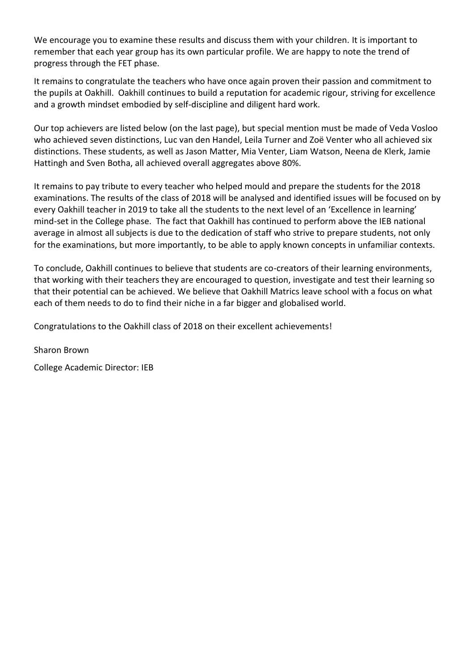We encourage you to examine these results and discuss them with your children. It is important to remember that each year group has its own particular profile. We are happy to note the trend of progress through the FET phase.

It remains to congratulate the teachers who have once again proven their passion and commitment to the pupils at Oakhill. Oakhill continues to build a reputation for academic rigour, striving for excellence and a growth mindset embodied by self-discipline and diligent hard work.

Our top achievers are listed below (on the last page), but special mention must be made of Veda Vosloo who achieved seven distinctions, Luc van den Handel, Leila Turner and Zoë Venter who all achieved six distinctions. These students, as well as Jason Matter, Mia Venter, Liam Watson, Neena de Klerk, Jamie Hattingh and Sven Botha, all achieved overall aggregates above 80%.

It remains to pay tribute to every teacher who helped mould and prepare the students for the 2018 examinations. The results of the class of 2018 will be analysed and identified issues will be focused on by every Oakhill teacher in 2019 to take all the students to the next level of an 'Excellence in learning' mind-set in the College phase. The fact that Oakhill has continued to perform above the IEB national average in almost all subjects is due to the dedication of staff who strive to prepare students, not only for the examinations, but more importantly, to be able to apply known concepts in unfamiliar contexts.

To conclude, Oakhill continues to believe that students are co-creators of their learning environments, that working with their teachers they are encouraged to question, investigate and test their learning so that their potential can be achieved. We believe that Oakhill Matrics leave school with a focus on what each of them needs to do to find their niche in a far bigger and globalised world.

Congratulations to the Oakhill class of 2018 on their excellent achievements!

Sharon Brown

College Academic Director: IEB